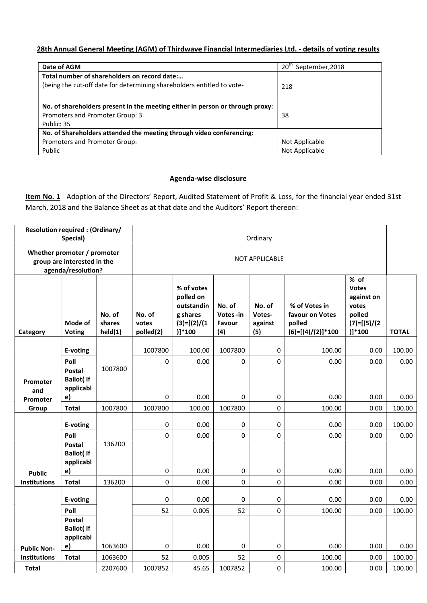## 28th Annual General Meeting (AGM) of Thirdwave Financial Intermediaries Ltd. - details of voting results

| Date of AGM                                                                   | 20 <sup>tn</sup><br>September, 2018 |
|-------------------------------------------------------------------------------|-------------------------------------|
| Total number of shareholders on record date:                                  |                                     |
| (being the cut-off date for determining shareholders entitled to vote-        | 218                                 |
|                                                                               |                                     |
| No. of shareholders present in the meeting either in person or through proxy: |                                     |
| Promoters and Promoter Group: 3                                               | 38                                  |
| Public: 35                                                                    |                                     |
| No. of Shareholders attended the meeting through video conferencing:          |                                     |
| Promoters and Promoter Group:                                                 | Not Applicable                      |
| Public                                                                        | Not Applicable                      |

## Agenda-wise disclosure

Item No. 1 Adoption of the Directors' Report, Audited Statement of Profit & Loss, for the financial year ended 31st March, 2018 and the Balance Sheet as at that date and the Auditors' Report thereon:

|                                                                                  | <b>Resolution required: (Ordinary/</b><br>Special)     |                             |                              |                                                                                 |                                      | Ordinary                           |                                                                   |                                                                                   |              |
|----------------------------------------------------------------------------------|--------------------------------------------------------|-----------------------------|------------------------------|---------------------------------------------------------------------------------|--------------------------------------|------------------------------------|-------------------------------------------------------------------|-----------------------------------------------------------------------------------|--------------|
| Whether promoter / promoter<br>group are interested in the<br>agenda/resolution? |                                                        |                             | <b>NOT APPLICABLE</b>        |                                                                                 |                                      |                                    |                                                                   |                                                                                   |              |
| Category                                                                         | Mode of<br><b>Voting</b>                               | No. of<br>shares<br>held(1) | No. of<br>votes<br>polled(2) | % of votes<br>polled on<br>outstandin<br>g shares<br>$(3)=[(2)/(1)$<br>$)]*100$ | No. of<br>Votes -in<br>Favour<br>(4) | No. of<br>Votes-<br>against<br>(5) | % of Votes in<br>favour on Votes<br>polled<br>$(6)=[(4)/(2)]*100$ | % of<br><b>Votes</b><br>against on<br>votes<br>polled<br>$(7)=[(5)/(2)$<br>)]*100 | <b>TOTAL</b> |
|                                                                                  | E-voting                                               |                             | 1007800                      | 100.00                                                                          | 1007800                              | $\mathbf 0$                        | 100.00                                                            | 0.00                                                                              | 100.00       |
|                                                                                  | Poll                                                   |                             | 0                            | 0.00                                                                            | $\mathbf 0$                          | $\mathbf 0$                        | 0.00                                                              | 0.00                                                                              | 0.00         |
| Promoter<br>and<br>Promoter                                                      | <b>Postal</b><br><b>Ballot</b> ( If<br>applicabl<br>e) | 1007800                     | 0                            | 0.00                                                                            | $\pmb{0}$                            | $\pmb{0}$                          | 0.00                                                              | 0.00                                                                              | 0.00         |
| Group                                                                            | <b>Total</b>                                           | 1007800                     | 1007800                      | 100.00                                                                          | 1007800                              | 0                                  | 100.00                                                            | 0.00                                                                              | 100.00       |
|                                                                                  | E-voting                                               |                             | 0                            | 0.00                                                                            | $\pmb{0}$                            | 0                                  | 0.00                                                              | 0.00                                                                              | 100.00       |
|                                                                                  | Poll                                                   |                             | 0                            | 0.00                                                                            | $\mathbf 0$                          | 0                                  | 0.00                                                              | 0.00                                                                              | 0.00         |
| <b>Public</b>                                                                    | Postal<br><b>Ballot(If</b><br>applicabl<br>e)          | 136200                      | 0                            | 0.00                                                                            | $\pmb{0}$                            | 0                                  | 0.00                                                              | 0.00                                                                              | 0.00         |
| <b>Institutions</b>                                                              | <b>Total</b>                                           | 136200                      | 0                            | 0.00                                                                            | $\mathbf 0$                          | $\mathbf 0$                        | 0.00                                                              | 0.00                                                                              | 0.00         |
|                                                                                  | E-voting                                               |                             | $\mathbf 0$                  | 0.00                                                                            | 0                                    | 0                                  | 0.00                                                              | 0.00                                                                              | 0.00         |
|                                                                                  | Poll                                                   |                             | 52                           | 0.005                                                                           | 52                                   | 0                                  | 100.00                                                            | 0.00                                                                              | 100.00       |
|                                                                                  | <b>Postal</b><br><b>Ballot(If</b><br>applicabl         |                             |                              |                                                                                 |                                      |                                    |                                                                   |                                                                                   |              |
| <b>Public Non-</b>                                                               | e)                                                     | 1063600                     | 0                            | 0.00                                                                            | 0                                    | 0                                  | 0.00                                                              | 0.00                                                                              | 0.00         |
| <b>Institutions</b>                                                              | <b>Total</b>                                           | 1063600                     | 52                           | 0.005                                                                           | 52                                   | 0                                  | 100.00                                                            | 0.00                                                                              | 100.00       |
| <b>Total</b>                                                                     |                                                        | 2207600                     | 1007852                      | 45.65                                                                           | 1007852                              | 0                                  | 100.00                                                            | 0.00                                                                              | 100.00       |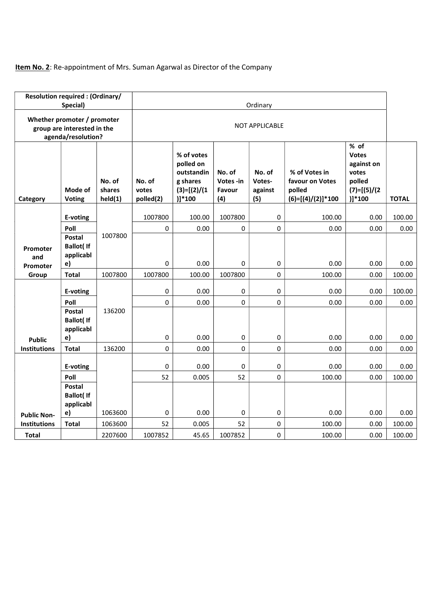## Item No. 2: Re-appointment of Mrs. Suman Agarwal as Director of the Company

|                             | <b>Resolution required: (Ordinary/</b><br>Special)                               |                             |                              |                                                                                 |                                      | Ordinary                           |                                                                   |                                                                                  |              |
|-----------------------------|----------------------------------------------------------------------------------|-----------------------------|------------------------------|---------------------------------------------------------------------------------|--------------------------------------|------------------------------------|-------------------------------------------------------------------|----------------------------------------------------------------------------------|--------------|
|                             | Whether promoter / promoter<br>group are interested in the<br>agenda/resolution? |                             | <b>NOT APPLICABLE</b>        |                                                                                 |                                      |                                    |                                                                   |                                                                                  |              |
| Category                    | Mode of<br><b>Voting</b>                                                         | No. of<br>shares<br>held(1) | No. of<br>votes<br>polled(2) | % of votes<br>polled on<br>outstandin<br>g shares<br>$(3)=[(2)/(1)$<br>$)]*100$ | No. of<br>Votes -in<br>Favour<br>(4) | No. of<br>Votes-<br>against<br>(5) | % of Votes in<br>favour on Votes<br>polled<br>$(6)=[(4)/(2)]*100$ | % of<br><b>Votes</b><br>against on<br>votes<br>polled<br>$(7)=[(5)/(2$<br>)]*100 | <b>TOTAL</b> |
|                             | E-voting                                                                         |                             | 1007800                      | 100.00                                                                          | 1007800                              | 0                                  | 100.00                                                            | 0.00                                                                             | 100.00       |
|                             | Poll                                                                             |                             | 0                            | 0.00                                                                            | 0                                    | $\mathbf 0$                        | 0.00                                                              | 0.00                                                                             | 0.00         |
| Promoter<br>and<br>Promoter | <b>Postal</b><br><b>Ballot</b> (If<br>applicabl<br>e)                            | 1007800                     | 0                            | 0.00                                                                            | 0                                    | 0                                  | 0.00                                                              | 0.00                                                                             | 0.00         |
| Group                       | <b>Total</b>                                                                     | 1007800                     | 1007800                      | 100.00                                                                          | 1007800                              | $\mathbf 0$                        | 100.00                                                            | 0.00                                                                             | 100.00       |
|                             | E-voting                                                                         |                             | 0                            | 0.00                                                                            | 0                                    | 0                                  | 0.00                                                              | 0.00                                                                             | 100.00       |
|                             | Poll                                                                             |                             | 0                            | 0.00                                                                            | $\pmb{0}$                            | $\pmb{0}$                          | 0.00                                                              | 0.00                                                                             | 0.00         |
| <b>Public</b>               | Postal<br><b>Ballot</b> (If<br>applicabl<br>e)                                   | 136200                      | 0                            | 0.00                                                                            | $\pmb{0}$                            | 0                                  | 0.00                                                              | 0.00                                                                             | 0.00         |
| <b>Institutions</b>         | <b>Total</b>                                                                     | 136200                      | 0                            | 0.00                                                                            | $\pmb{0}$                            | $\pmb{0}$                          | 0.00                                                              | 0.00                                                                             | 0.00         |
|                             | E-voting                                                                         |                             | 0                            | 0.00                                                                            | 0                                    | 0                                  | 0.00                                                              | 0.00                                                                             | 0.00         |
|                             | Poll                                                                             |                             | 52                           | 0.005                                                                           | 52                                   | $\mathbf 0$                        | 100.00                                                            | 0.00                                                                             | 100.00       |
|                             | Postal<br><b>Ballot</b> (If<br>applicabl                                         |                             |                              |                                                                                 |                                      |                                    |                                                                   |                                                                                  |              |
| <b>Public Non-</b>          | e)                                                                               | 1063600                     | 0                            | 0.00                                                                            | $\pmb{0}$                            | 0                                  | 0.00                                                              | 0.00                                                                             | 0.00         |
| <b>Institutions</b>         | <b>Total</b>                                                                     | 1063600                     | 52                           | 0.005                                                                           | 52                                   | 0                                  | 100.00                                                            | 0.00                                                                             | 100.00       |
| <b>Total</b>                |                                                                                  | 2207600                     | 1007852                      | 45.65                                                                           | 1007852                              | $\pmb{0}$                          | 100.00                                                            | 0.00                                                                             | 100.00       |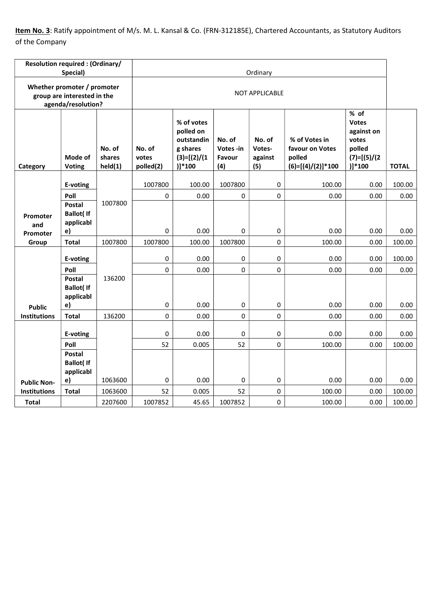Item No. 3: Ratify appointment of M/s. M. L. Kansal & Co. (FRN-312185E), Chartered Accountants, as Statutory Auditors of the Company

|                     | <b>Resolution required: (Ordinary/</b><br>Special)                               |                             |                              |                                                                                 |                                      | Ordinary                           |                                                                   |                                                                                     |              |
|---------------------|----------------------------------------------------------------------------------|-----------------------------|------------------------------|---------------------------------------------------------------------------------|--------------------------------------|------------------------------------|-------------------------------------------------------------------|-------------------------------------------------------------------------------------|--------------|
|                     | Whether promoter / promoter<br>group are interested in the<br>agenda/resolution? |                             | <b>NOT APPLICABLE</b>        |                                                                                 |                                      |                                    |                                                                   |                                                                                     |              |
| Category            | Mode of<br><b>Voting</b>                                                         | No. of<br>shares<br>held(1) | No. of<br>votes<br>polled(2) | % of votes<br>polled on<br>outstandin<br>g shares<br>$(3)=[(2)/(1)$<br>$)]*100$ | No. of<br>Votes -in<br>Favour<br>(4) | No. of<br>Votes-<br>against<br>(5) | % of Votes in<br>favour on Votes<br>polled<br>$(6)=[(4)/(2)]*100$ | % of<br><b>Votes</b><br>against on<br>votes<br>polled<br>$(7)=[(5)/(2)$<br>$)]*100$ | <b>TOTAL</b> |
|                     | E-voting                                                                         |                             | 1007800                      | 100.00                                                                          | 1007800                              | 0                                  | 100.00                                                            | 0.00                                                                                | 100.00       |
|                     | Poll                                                                             |                             | 0                            | 0.00                                                                            | $\pmb{0}$                            | $\mathbf 0$                        | 0.00                                                              | 0.00                                                                                | 0.00         |
| Promoter<br>and     | Postal<br><b>Ballot(If</b><br>applicabl                                          | 1007800                     |                              |                                                                                 |                                      |                                    |                                                                   |                                                                                     |              |
| Promoter            | e)                                                                               |                             | 0                            | 0.00                                                                            | 0                                    | $\pmb{0}$                          | 0.00                                                              | 0.00                                                                                | 0.00         |
| Group               | <b>Total</b>                                                                     | 1007800                     | 1007800                      | 100.00                                                                          | 1007800                              | 0                                  | 100.00                                                            | 0.00                                                                                | 100.00       |
|                     | E-voting                                                                         |                             | 0                            | 0.00                                                                            | 0                                    | 0                                  | 0.00                                                              | 0.00                                                                                | 100.00       |
|                     | Poll                                                                             |                             | $\pmb{0}$                    | 0.00                                                                            | $\pmb{0}$                            | $\pmb{0}$                          | 0.00                                                              | 0.00                                                                                | 0.00         |
| <b>Public</b>       | <b>Postal</b><br><b>Ballot</b> ( If<br>applicabl<br>e)                           | 136200                      | $\pmb{0}$                    | 0.00                                                                            | 0                                    | $\pmb{0}$                          | 0.00                                                              | 0.00                                                                                | 0.00         |
| <b>Institutions</b> | <b>Total</b>                                                                     | 136200                      | $\mathbf 0$                  | 0.00                                                                            | 0                                    | $\mathbf 0$                        | 0.00                                                              | 0.00                                                                                | 0.00         |
|                     | E-voting                                                                         |                             | 0                            | 0.00                                                                            | 0                                    | 0                                  | 0.00                                                              | 0.00                                                                                | 0.00         |
|                     | Poll                                                                             |                             | 52                           | 0.005                                                                           | 52                                   | $\mathbf 0$                        | 100.00                                                            | 0.00                                                                                | 100.00       |
|                     | Postal<br><b>Ballot</b> ( If<br>applicabl                                        |                             |                              |                                                                                 |                                      |                                    |                                                                   |                                                                                     |              |
| <b>Public Non-</b>  | e)                                                                               | 1063600                     | $\pmb{0}$                    | 0.00                                                                            | 0                                    | 0                                  | 0.00                                                              | 0.00                                                                                | 0.00         |
| <b>Institutions</b> | <b>Total</b>                                                                     | 1063600                     | 52                           | 0.005                                                                           | 52                                   | $\mathbf 0$                        | 100.00                                                            | 0.00                                                                                | 100.00       |
| <b>Total</b>        |                                                                                  | 2207600                     | 1007852                      | 45.65                                                                           | 1007852                              | 0                                  | 100.00                                                            | 0.00                                                                                | 100.00       |